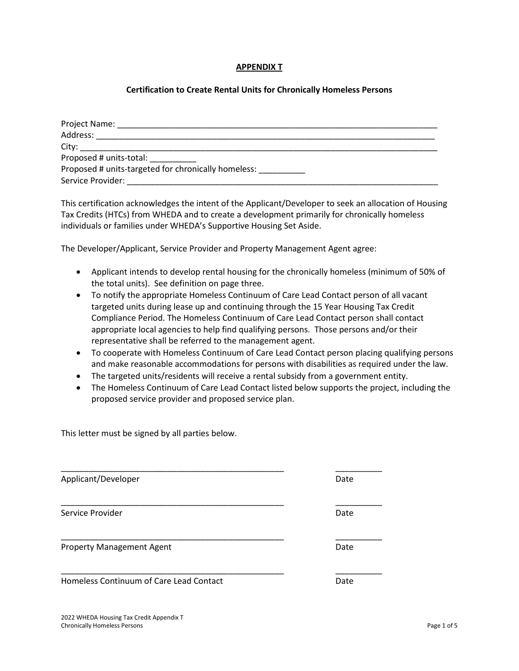## **APPENDIX T**

# **Certification to Create Rental Units for Chronically Homeless Persons**

| Project Name:                                       |  |
|-----------------------------------------------------|--|
| Address:                                            |  |
| City:                                               |  |
| Proposed # units-total:                             |  |
| Proposed # units-targeted for chronically homeless: |  |
| Service Provider:                                   |  |

This certification acknowledges the intent of the Applicant/Developer to seek an allocation of Housing Tax Credits (HTCs) from WHEDA and to create a development primarily for chronically homeless individuals or families under WHEDA's Supportive Housing Set Aside.

The Developer/Applicant, Service Provider and Property Management Agent agree:

- Applicant intends to develop rental housing for the chronically homeless (minimum of 50% of the total units). See definition on page three.
- To notify the appropriate Homeless Continuum of Care Lead Contact person of all vacant targeted units during lease up and continuing through the 15 Year Housing Tax Credit Compliance Period. The Homeless Continuum of Care Lead Contact person shall contact appropriate local agencies to help find qualifying persons. Those persons and/or their representative shall be referred to the management agent.
- To cooperate with Homeless Continuum of Care Lead Contact person placing qualifying persons and make reasonable accommodations for persons with disabilities as required under the law.
- The targeted units/residents will receive a rental subsidy from a government entity.
- The Homeless Continuum of Care Lead Contact listed below supports the project, including the proposed service provider and proposed service plan.

This letter must be signed by all parties below.

| Applicant/Developer                     | Date |
|-----------------------------------------|------|
| Service Provider                        | Date |
| <b>Property Management Agent</b>        | Date |
| Homeless Continuum of Care Lead Contact | Date |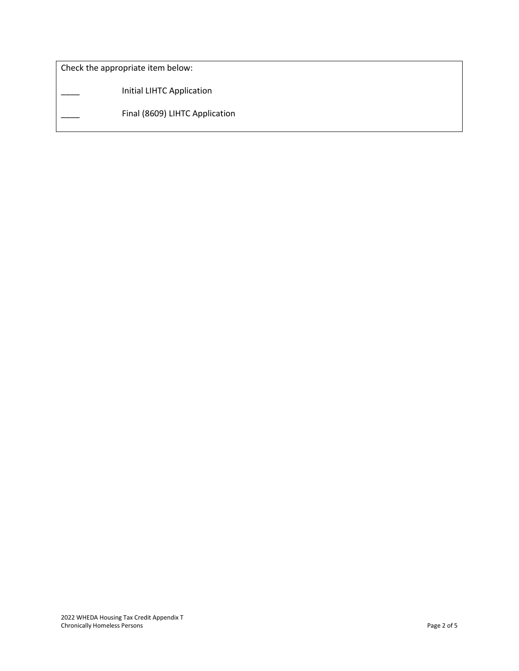Check the appropriate item below:

\_\_\_\_ Initial LIHTC Application

Final (8609) LIHTC Application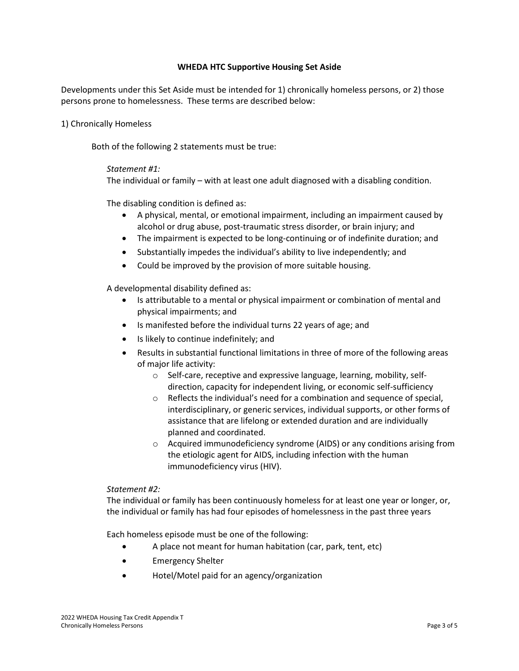# **WHEDA HTC Supportive Housing Set Aside**

Developments under this Set Aside must be intended for 1) chronically homeless persons, or 2) those persons prone to homelessness. These terms are described below:

1) Chronically Homeless

Both of the following 2 statements must be true:

# *Statement #1:*

The individual or family – with at least one adult diagnosed with a disabling condition.

The disabling condition is defined as:

- A physical, mental, or emotional impairment, including an impairment caused by alcohol or drug abuse, post-traumatic stress disorder, or brain injury; and
- The impairment is expected to be long-continuing or of indefinite duration; and
- Substantially impedes the individual's ability to live independently; and
- Could be improved by the provision of more suitable housing.

A developmental disability defined as:

- Is attributable to a mental or physical impairment or combination of mental and physical impairments; and
- Is manifested before the individual turns 22 years of age; and
- Is likely to continue indefinitely; and
- Results in substantial functional limitations in three of more of the following areas of major life activity:
	- $\circ$  Self-care, receptive and expressive language, learning, mobility, selfdirection, capacity for independent living, or economic self-sufficiency
	- $\circ$  Reflects the individual's need for a combination and sequence of special, interdisciplinary, or generic services, individual supports, or other forms of assistance that are lifelong or extended duration and are individually planned and coordinated.
	- o Acquired immunodeficiency syndrome (AIDS) or any conditions arising from the etiologic agent for AIDS, including infection with the human immunodeficiency virus (HIV).

### *Statement #2:*

The individual or family has been continuously homeless for at least one year or longer, or, the individual or family has had four episodes of homelessness in the past three years

Each homeless episode must be one of the following:

- A place not meant for human habitation (car, park, tent, etc)
- Emergency Shelter
- Hotel/Motel paid for an agency/organization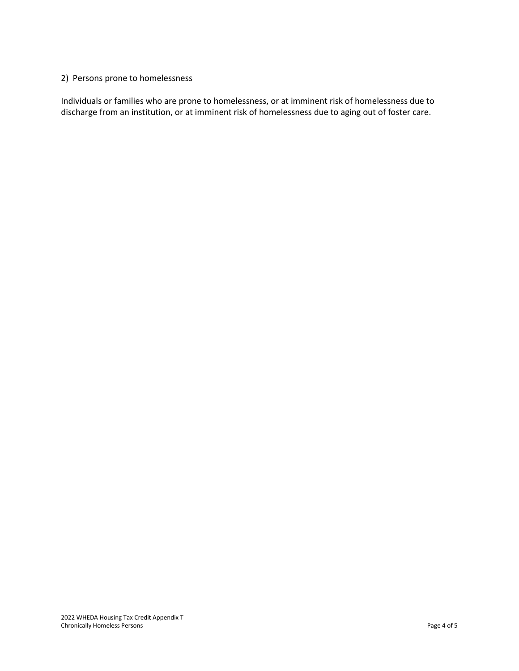# 2) Persons prone to homelessness

Individuals or families who are prone to homelessness, or at imminent risk of homelessness due to discharge from an institution, or at imminent risk of homelessness due to aging out of foster care.